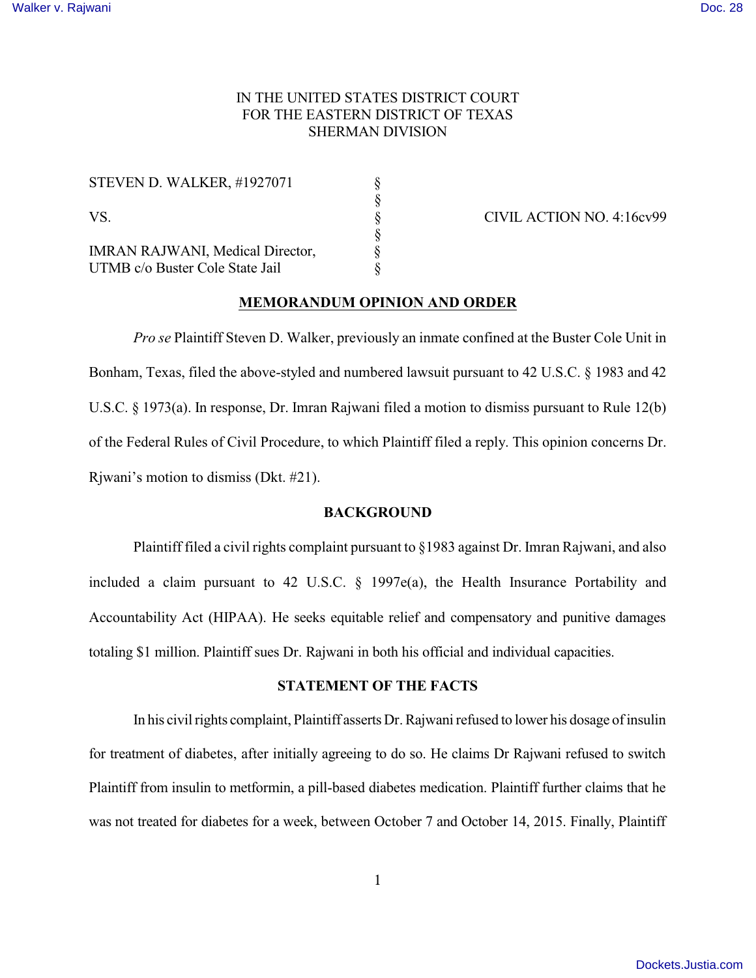# IN THE UNITED STATES DISTRICT COURT FOR THE EASTERN DISTRICT OF TEXAS SHERMAN DIVISION

| <b>STEVEN D. WALKER, #1927071</b>                                   |   |
|---------------------------------------------------------------------|---|
| VS.                                                                 |   |
| IMRAN RAJWANI, Medical Director,<br>UTMB c/o Buster Cole State Jail | 8 |

CIVIL ACTION NO. 4:16cv99

## **MEMORANDUM OPINION AND ORDER**

*Pro se* Plaintiff Steven D. Walker, previously an inmate confined at the Buster Cole Unit in Bonham, Texas, filed the above-styled and numbered lawsuit pursuant to 42 U.S.C. § 1983 and 42 U.S.C. § 1973(a). In response, Dr. Imran Rajwani filed a motion to dismiss pursuant to Rule 12(b) of the Federal Rules of Civil Procedure, to which Plaintiff filed a reply. This opinion concerns Dr. Rjwani's motion to dismiss (Dkt. #21).

## **BACKGROUND**

Plaintiff filed a civil rights complaint pursuant to §1983 against Dr. Imran Rajwani, and also included a claim pursuant to 42 U.S.C. § 1997e(a), the Health Insurance Portability and Accountability Act (HIPAA). He seeks equitable relief and compensatory and punitive damages totaling \$1 million. Plaintiff sues Dr. Rajwani in both his official and individual capacities.

# **STATEMENT OF THE FACTS**

In his civil rights complaint, Plaintiff asserts Dr. Rajwani refused to lower his dosage of insulin for treatment of diabetes, after initially agreeing to do so. He claims Dr Rajwani refused to switch Plaintiff from insulin to metformin, a pill-based diabetes medication. Plaintiff further claims that he was not treated for diabetes for a week, between October 7 and October 14, 2015. Finally, Plaintiff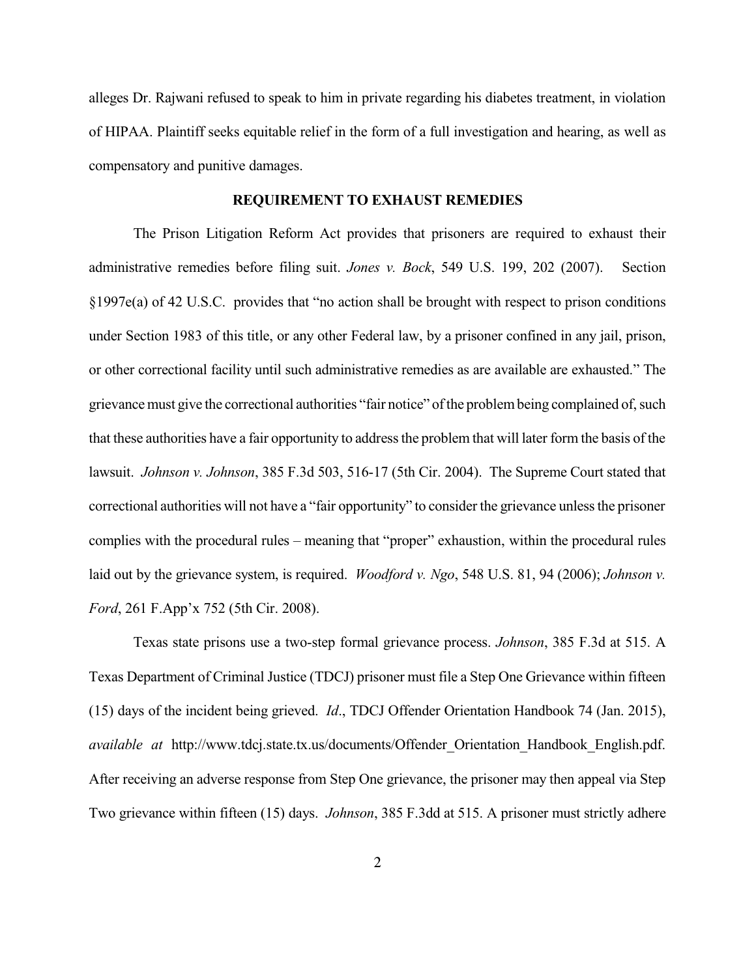alleges Dr. Rajwani refused to speak to him in private regarding his diabetes treatment, in violation of HIPAA. Plaintiff seeks equitable relief in the form of a full investigation and hearing, as well as compensatory and punitive damages.

### **REQUIREMENT TO EXHAUST REMEDIES**

The Prison Litigation Reform Act provides that prisoners are required to exhaust their administrative remedies before filing suit. *Jones v. Bock*, 549 U.S. 199, 202 (2007). Section §1997e(a) of 42 U.S.C. provides that "no action shall be brought with respect to prison conditions under Section 1983 of this title, or any other Federal law, by a prisoner confined in any jail, prison, or other correctional facility until such administrative remedies as are available are exhausted." The grievance must give the correctional authorities "fair notice" of the problem being complained of, such that these authorities have a fair opportunity to address the problem that will later form the basis of the lawsuit. *Johnson v. Johnson*, 385 F.3d 503, 516-17 (5th Cir. 2004). The Supreme Court stated that correctional authorities will not have a "fair opportunity" to consider the grievance unlessthe prisoner complies with the procedural rules – meaning that "proper" exhaustion, within the procedural rules laid out by the grievance system, is required. *Woodford v. Ngo*, 548 U.S. 81, 94 (2006); *Johnson v. Ford*, 261 F.App'x 752 (5th Cir. 2008).

Texas state prisons use a two-step formal grievance process. *Johnson*, 385 F.3d at 515. A Texas Department of Criminal Justice (TDCJ) prisoner must file a Step One Grievance within fifteen (15) days of the incident being grieved. *Id*., TDCJ Offender Orientation Handbook 74 (Jan. 2015), *available at* http://www.tdcj.state.tx.us/documents/Offender\_Orientation\_Handbook\_English.pdf. After receiving an adverse response from Step One grievance, the prisoner may then appeal via Step Two grievance within fifteen (15) days. *Johnson*, 385 F.3dd at 515. A prisoner must strictly adhere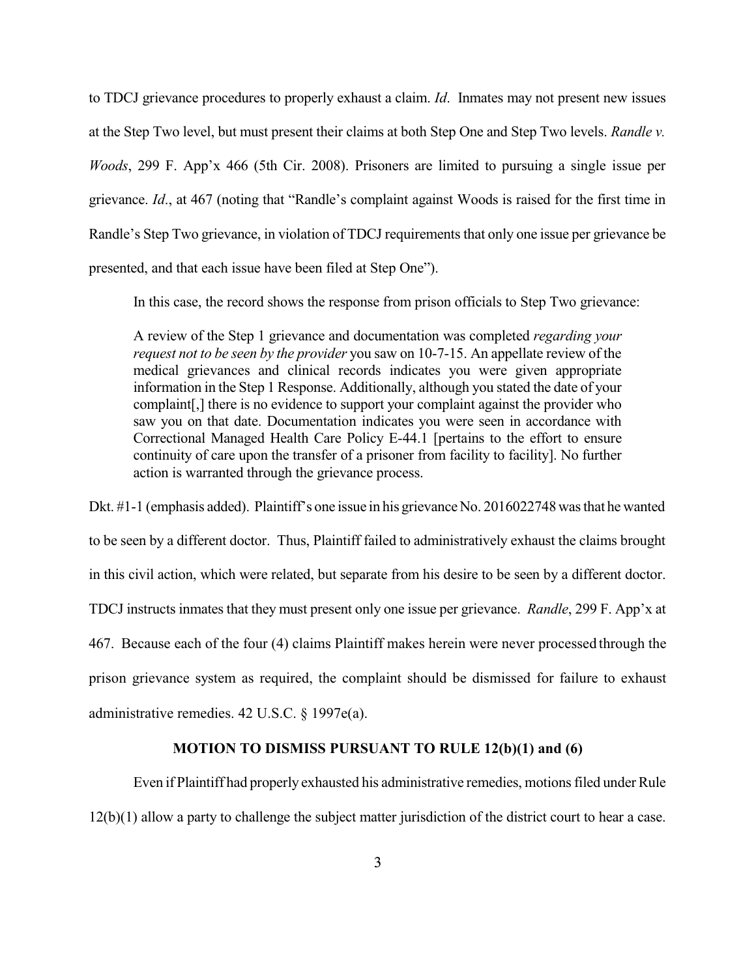to TDCJ grievance procedures to properly exhaust a claim. *Id*. Inmates may not present new issues at the Step Two level, but must present their claims at both Step One and Step Two levels. *Randle v. Woods*, 299 F. App'x 466 (5th Cir. 2008). Prisoners are limited to pursuing a single issue per grievance. *Id*., at 467 (noting that "Randle's complaint against Woods is raised for the first time in Randle's Step Two grievance, in violation of TDCJ requirements that only one issue per grievance be presented, and that each issue have been filed at Step One").

In this case, the record shows the response from prison officials to Step Two grievance:

A review of the Step 1 grievance and documentation was completed *regarding your request not to be seen by the provider* you saw on 10-7-15. An appellate review of the medical grievances and clinical records indicates you were given appropriate information in the Step 1 Response. Additionally, although you stated the date of your complaint[,] there is no evidence to support your complaint against the provider who saw you on that date. Documentation indicates you were seen in accordance with Correctional Managed Health Care Policy E-44.1 [pertains to the effort to ensure continuity of care upon the transfer of a prisoner from facility to facility]. No further action is warranted through the grievance process.

Dkt. #1-1 (emphasis added). Plaintiff's one issue in his grievance No. 2016022748 was that he wanted to be seen by a different doctor. Thus, Plaintiff failed to administratively exhaust the claims brought in this civil action, which were related, but separate from his desire to be seen by a different doctor. TDCJ instructs inmates that they must present only one issue per grievance. *Randle*, 299 F. App'x at 467. Because each of the four (4) claims Plaintiff makes herein were never processed through the prison grievance system as required, the complaint should be dismissed for failure to exhaust administrative remedies. 42 U.S.C. § 1997e(a).

## **MOTION TO DISMISS PURSUANT TO RULE 12(b)(1) and (6)**

Even if Plaintiff had properly exhausted his administrative remedies, motionsfiled under Rule 12(b)(1) allow a party to challenge the subject matter jurisdiction of the district court to hear a case.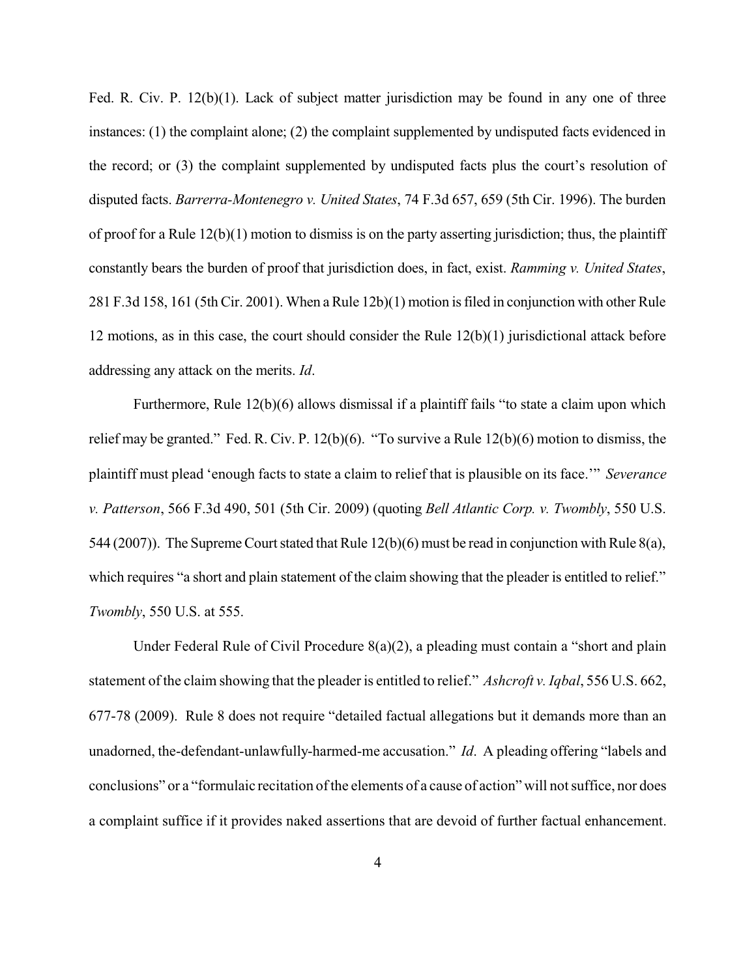Fed. R. Civ. P. 12(b)(1). Lack of subject matter jurisdiction may be found in any one of three instances: (1) the complaint alone; (2) the complaint supplemented by undisputed facts evidenced in the record; or (3) the complaint supplemented by undisputed facts plus the court's resolution of disputed facts. *Barrerra-Montenegro v. United States*, 74 F.3d 657, 659 (5th Cir. 1996). The burden of proof for a Rule  $12(b)(1)$  motion to dismiss is on the party asserting jurisdiction; thus, the plaintiff constantly bears the burden of proof that jurisdiction does, in fact, exist. *Ramming v. United States*, 281 F.3d 158, 161 (5th Cir. 2001). When a Rule 12b)(1) motion is filed in conjunction with other Rule 12 motions, as in this case, the court should consider the Rule 12(b)(1) jurisdictional attack before addressing any attack on the merits. *Id*.

Furthermore, Rule 12(b)(6) allows dismissal if a plaintiff fails "to state a claim upon which relief may be granted." Fed. R. Civ. P. 12(b)(6). "To survive a Rule 12(b)(6) motion to dismiss, the plaintiff must plead 'enough facts to state a claim to relief that is plausible on its face.'" *Severance v. Patterson*, 566 F.3d 490, 501 (5th Cir. 2009) (quoting *Bell Atlantic Corp. v. Twombly*, 550 U.S. 544 (2007)). The Supreme Court stated that Rule  $12(b)(6)$  must be read in conjunction with Rule 8(a), which requires "a short and plain statement of the claim showing that the pleader is entitled to relief." *Twombly*, 550 U.S. at 555.

Under Federal Rule of Civil Procedure 8(a)(2), a pleading must contain a "short and plain statement of the claim showing that the pleader is entitled to relief." *Ashcroft v. Iqbal*, 556 U.S. 662, 677-78 (2009). Rule 8 does not require "detailed factual allegations but it demands more than an unadorned, the-defendant-unlawfully-harmed-me accusation." *Id*. A pleading offering "labels and conclusions" or a "formulaic recitation of the elements of a cause of action" will not suffice, nor does a complaint suffice if it provides naked assertions that are devoid of further factual enhancement.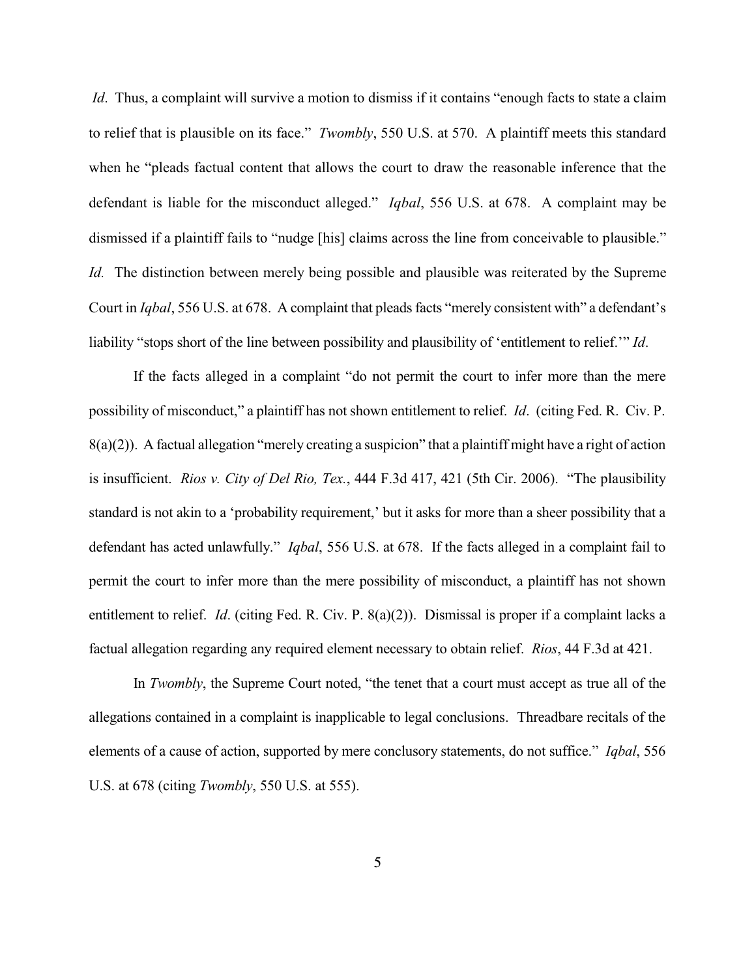*Id.* Thus, a complaint will survive a motion to dismiss if it contains "enough facts to state a claim to relief that is plausible on its face." *Twombly*, 550 U.S. at 570. A plaintiff meets this standard when he "pleads factual content that allows the court to draw the reasonable inference that the defendant is liable for the misconduct alleged." *Iqbal*, 556 U.S. at 678. A complaint may be dismissed if a plaintiff fails to "nudge [his] claims across the line from conceivable to plausible." *Id.* The distinction between merely being possible and plausible was reiterated by the Supreme Court in *Iqbal*, 556 U.S. at 678. A complaint that pleads facts "merely consistent with" a defendant's liability "stops short of the line between possibility and plausibility of 'entitlement to relief.'" *Id*.

If the facts alleged in a complaint "do not permit the court to infer more than the mere possibility of misconduct," a plaintiff has not shown entitlement to relief. *Id*. (citing Fed. R. Civ. P. 8(a)(2)). A factual allegation "merely creating a suspicion" that a plaintiff might have a right of action is insufficient. *Rios v. City of Del Rio, Tex.*, 444 F.3d 417, 421 (5th Cir. 2006). "The plausibility standard is not akin to a 'probability requirement,' but it asks for more than a sheer possibility that a defendant has acted unlawfully." *Iqbal*, 556 U.S. at 678. If the facts alleged in a complaint fail to permit the court to infer more than the mere possibility of misconduct, a plaintiff has not shown entitlement to relief. *Id*. (citing Fed. R. Civ. P. 8(a)(2)). Dismissal is proper if a complaint lacks a factual allegation regarding any required element necessary to obtain relief. *Rios*, 44 F.3d at 421.

In *Twombly*, the Supreme Court noted, "the tenet that a court must accept as true all of the allegations contained in a complaint is inapplicable to legal conclusions. Threadbare recitals of the elements of a cause of action, supported by mere conclusory statements, do not suffice." *Iqbal*, 556 U.S. at 678 (citing *Twombly*, 550 U.S. at 555).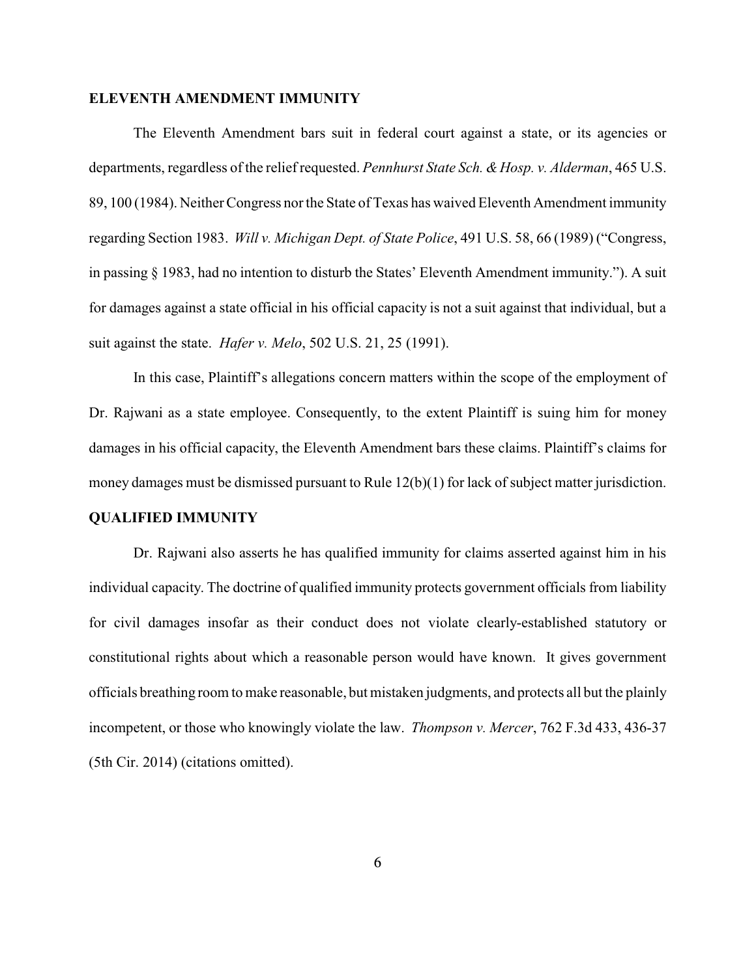# **ELEVENTH AMENDMENT IMMUNITY**

The Eleventh Amendment bars suit in federal court against a state, or its agencies or departments, regardless of the relief requested. *Pennhurst State Sch. & Hosp. v. Alderman*, 465 U.S. 89, 100 (1984). Neither Congress nor the State of Texas has waived Eleventh Amendment immunity regarding Section 1983. *Will v. Michigan Dept. of State Police*, 491 U.S. 58, 66 (1989) ("Congress, in passing § 1983, had no intention to disturb the States' Eleventh Amendment immunity."). A suit for damages against a state official in his official capacity is not a suit against that individual, but a suit against the state. *Hafer v. Melo*, 502 U.S. 21, 25 (1991).

In this case, Plaintiff's allegations concern matters within the scope of the employment of Dr. Rajwani as a state employee. Consequently, to the extent Plaintiff is suing him for money damages in his official capacity, the Eleventh Amendment bars these claims. Plaintiff's claims for money damages must be dismissed pursuant to Rule 12(b)(1) for lack of subject matter jurisdiction.

## **QUALIFIED IMMUNITY**

Dr. Rajwani also asserts he has qualified immunity for claims asserted against him in his individual capacity. The doctrine of qualified immunity protects government officials from liability for civil damages insofar as their conduct does not violate clearly-established statutory or constitutional rights about which a reasonable person would have known. It gives government officials breathing room to make reasonable, but mistaken judgments, and protects all but the plainly incompetent, or those who knowingly violate the law. *Thompson v. Mercer*, 762 F.3d 433, 436-37 (5th Cir. 2014) (citations omitted).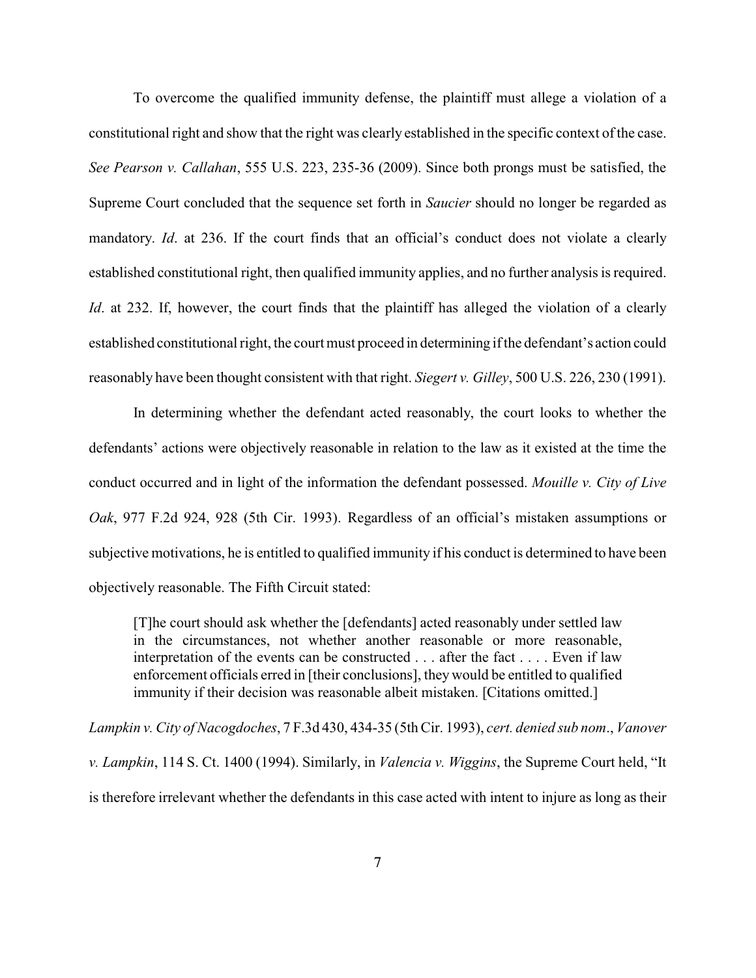To overcome the qualified immunity defense, the plaintiff must allege a violation of a constitutional right and show that the right was clearly established in the specific context of the case. *See Pearson v. Callahan*, 555 U.S. 223, 235-36 (2009). Since both prongs must be satisfied, the Supreme Court concluded that the sequence set forth in *Saucier* should no longer be regarded as mandatory. *Id*. at 236. If the court finds that an official's conduct does not violate a clearly established constitutional right, then qualified immunity applies, and no further analysis is required. *Id.* at 232. If, however, the court finds that the plaintiff has alleged the violation of a clearly established constitutional right, the court must proceed in determining if the defendant's action could reasonably have been thought consistent with that right. *Siegert v. Gilley*, 500 U.S. 226, 230 (1991).

In determining whether the defendant acted reasonably, the court looks to whether the defendants' actions were objectively reasonable in relation to the law as it existed at the time the conduct occurred and in light of the information the defendant possessed. *Mouille v. City of Live Oak*, 977 F.2d 924, 928 (5th Cir. 1993). Regardless of an official's mistaken assumptions or subjective motivations, he is entitled to qualified immunity if his conduct is determined to have been objectively reasonable. The Fifth Circuit stated:

[T]he court should ask whether the [defendants] acted reasonably under settled law in the circumstances, not whether another reasonable or more reasonable, interpretation of the events can be constructed . . . after the fact . . . . Even if law enforcement officials erred in [their conclusions], they would be entitled to qualified immunity if their decision was reasonable albeit mistaken. [Citations omitted.]

*Lampkin v. City of Nacogdoches*, 7 F.3d 430, 434-35 (5th Cir. 1993), *cert. denied sub nom*., *Vanover v. Lampkin*, 114 S. Ct. 1400 (1994). Similarly, in *Valencia v. Wiggins*, the Supreme Court held, "It is therefore irrelevant whether the defendants in this case acted with intent to injure as long as their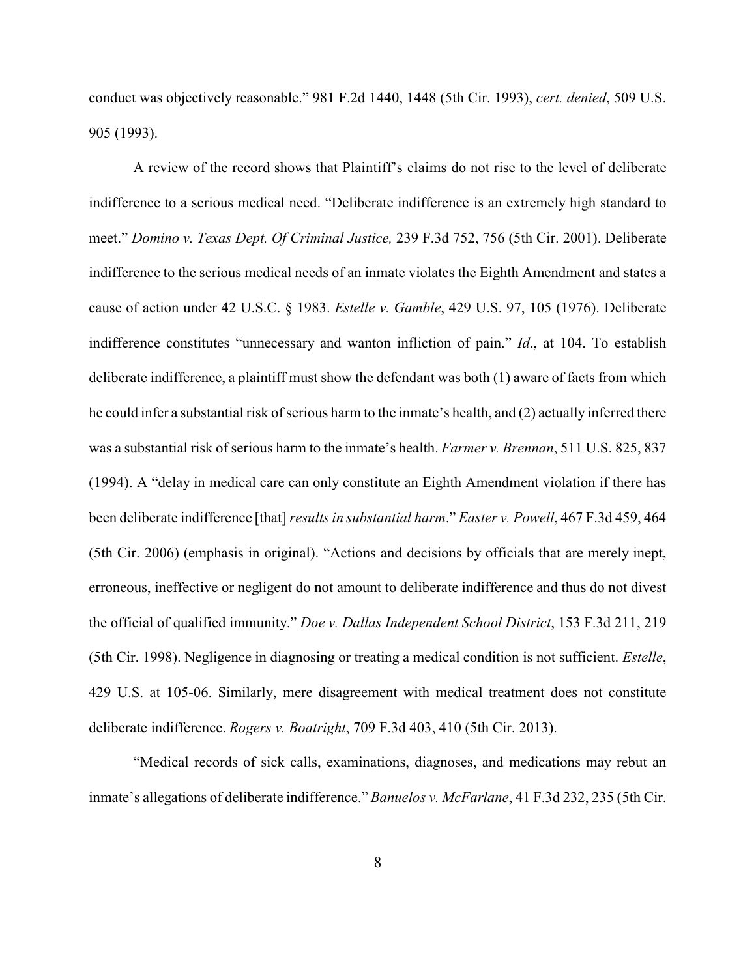conduct was objectively reasonable." 981 F.2d 1440, 1448 (5th Cir. 1993), *cert. denied*, 509 U.S. 905 (1993).

A review of the record shows that Plaintiff's claims do not rise to the level of deliberate indifference to a serious medical need. "Deliberate indifference is an extremely high standard to meet." *Domino v. Texas Dept. Of Criminal Justice,* 239 F.3d 752, 756 (5th Cir. 2001). Deliberate indifference to the serious medical needs of an inmate violates the Eighth Amendment and states a cause of action under 42 U.S.C. § 1983. *Estelle v. Gamble*, 429 U.S. 97, 105 (1976). Deliberate indifference constitutes "unnecessary and wanton infliction of pain." *Id*., at 104. To establish deliberate indifference, a plaintiff must show the defendant was both (1) aware of facts from which he could infer a substantial risk of serious harm to the inmate's health, and (2) actually inferred there was a substantial risk of serious harm to the inmate's health. *Farmer v. Brennan*, 511 U.S. 825, 837 (1994). A "delay in medical care can only constitute an Eighth Amendment violation if there has been deliberate indifference [that] *results in substantial harm*." *Easter v. Powell*, 467 F.3d 459, 464 (5th Cir. 2006) (emphasis in original). "Actions and decisions by officials that are merely inept, erroneous, ineffective or negligent do not amount to deliberate indifference and thus do not divest the official of qualified immunity." *Doe v. Dallas Independent School District*, 153 F.3d 211, 219 (5th Cir. 1998). Negligence in diagnosing or treating a medical condition is not sufficient. *Estelle*, 429 U.S. at 105-06. Similarly, mere disagreement with medical treatment does not constitute deliberate indifference. *Rogers v. Boatright*, 709 F.3d 403, 410 (5th Cir. 2013).

"Medical records of sick calls, examinations, diagnoses, and medications may rebut an inmate's allegations of deliberate indifference." *Banuelos v. McFarlane*, 41 F.3d 232, 235 (5th Cir.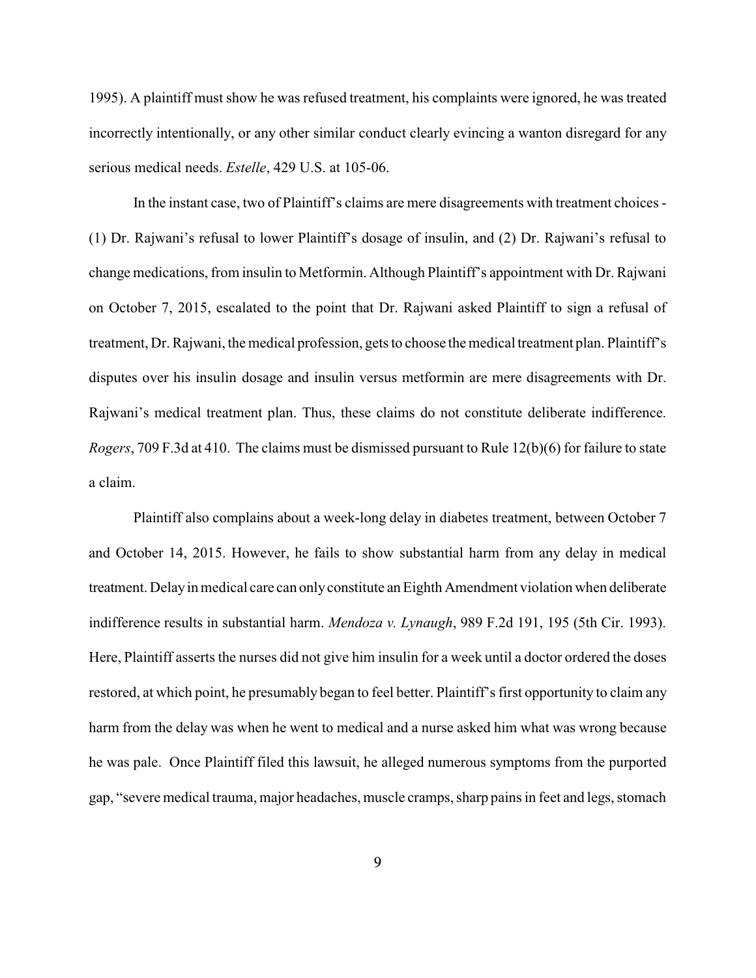1995). A plaintiff must show he was refused treatment, his complaints were ignored, he was treated incorrectly intentionally, or any other similar conduct clearly evincing a wanton disregard for any serious medical needs. *Estelle*, 429 U.S. at 105-06.

In the instant case, two of Plaintiff's claims are mere disagreements with treatment choices - (1) Dr. Rajwani's refusal to lower Plaintiff's dosage of insulin, and (2) Dr. Rajwani's refusal to change medications, from insulin to Metformin. Although Plaintiff's appointment with Dr. Rajwani on October 7, 2015, escalated to the point that Dr. Rajwani asked Plaintiff to sign a refusal of treatment, Dr. Rajwani, the medical profession, gets to choose the medical treatment plan. Plaintiff's disputes over his insulin dosage and insulin versus metformin are mere disagreements with Dr. Rajwani's medical treatment plan. Thus, these claims do not constitute deliberate indifference. *Rogers*, 709 F.3d at 410. The claims must be dismissed pursuant to Rule 12(b)(6) for failure to state a claim.

Plaintiff also complains about a week-long delay in diabetes treatment, between October 7 and October 14, 2015. However, he fails to show substantial harm from any delay in medical treatment. Delayin medical care can onlyconstitute an Eighth Amendment violation when deliberate indifference results in substantial harm. *Mendoza v. Lynaugh*, 989 F.2d 191, 195 (5th Cir. 1993). Here, Plaintiff asserts the nurses did not give him insulin for a week until a doctor ordered the doses restored, at which point, he presumably began to feel better. Plaintiff's first opportunity to claim any harm from the delay was when he went to medical and a nurse asked him what was wrong because he was pale. Once Plaintiff filed this lawsuit, he alleged numerous symptoms from the purported gap, "severe medical trauma, major headaches, muscle cramps, sharp pains in feet and legs, stomach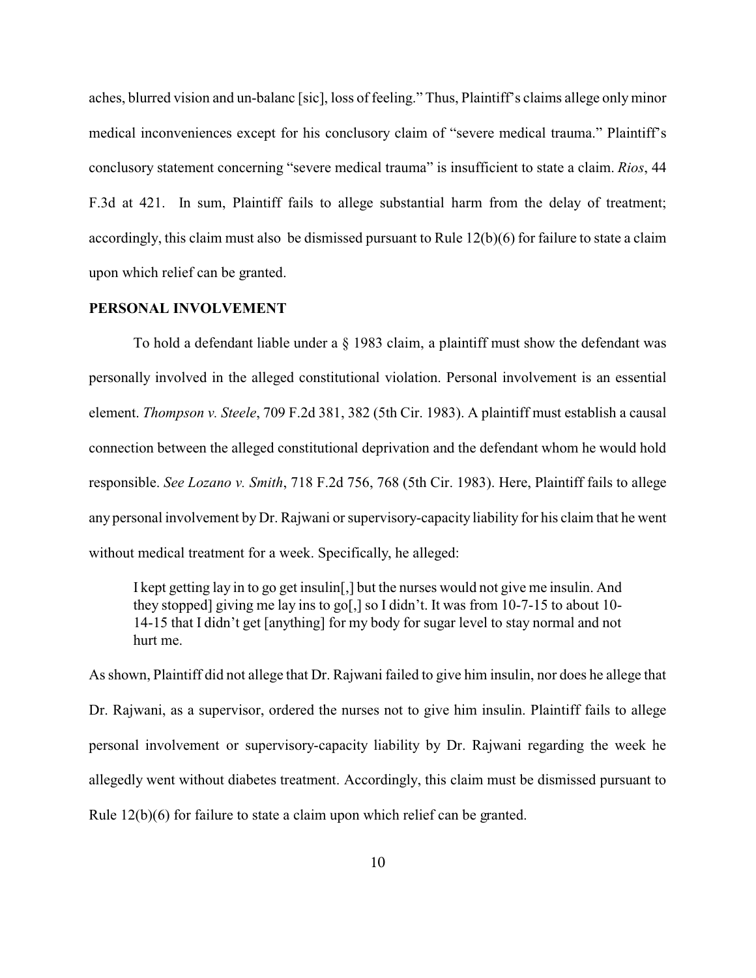aches, blurred vision and un-balanc [sic], loss of feeling." Thus, Plaintiff's claims allege only minor medical inconveniences except for his conclusory claim of "severe medical trauma." Plaintiff's conclusory statement concerning "severe medical trauma" is insufficient to state a claim. *Rios*, 44 F.3d at 421. In sum, Plaintiff fails to allege substantial harm from the delay of treatment; accordingly, this claim must also be dismissed pursuant to Rule 12(b)(6) for failure to state a claim upon which relief can be granted.

## **PERSONAL INVOLVEMENT**

To hold a defendant liable under a § 1983 claim, a plaintiff must show the defendant was personally involved in the alleged constitutional violation. Personal involvement is an essential element. *Thompson v. Steele*, 709 F.2d 381, 382 (5th Cir. 1983). A plaintiff must establish a causal connection between the alleged constitutional deprivation and the defendant whom he would hold responsible. *See Lozano v. Smith*, 718 F.2d 756, 768 (5th Cir. 1983). Here, Plaintiff fails to allege any personal involvement by Dr. Rajwani or supervisory-capacity liability for his claim that he went without medical treatment for a week. Specifically, he alleged:

I kept getting lay in to go get insulin[,] but the nurses would not give me insulin. And they stopped] giving me lay ins to go[,] so I didn't. It was from 10-7-15 to about 10- 14-15 that I didn't get [anything] for my body for sugar level to stay normal and not hurt me.

As shown, Plaintiff did not allege that Dr. Rajwani failed to give him insulin, nor does he allege that Dr. Rajwani, as a supervisor, ordered the nurses not to give him insulin. Plaintiff fails to allege personal involvement or supervisory-capacity liability by Dr. Rajwani regarding the week he allegedly went without diabetes treatment. Accordingly, this claim must be dismissed pursuant to Rule 12(b)(6) for failure to state a claim upon which relief can be granted.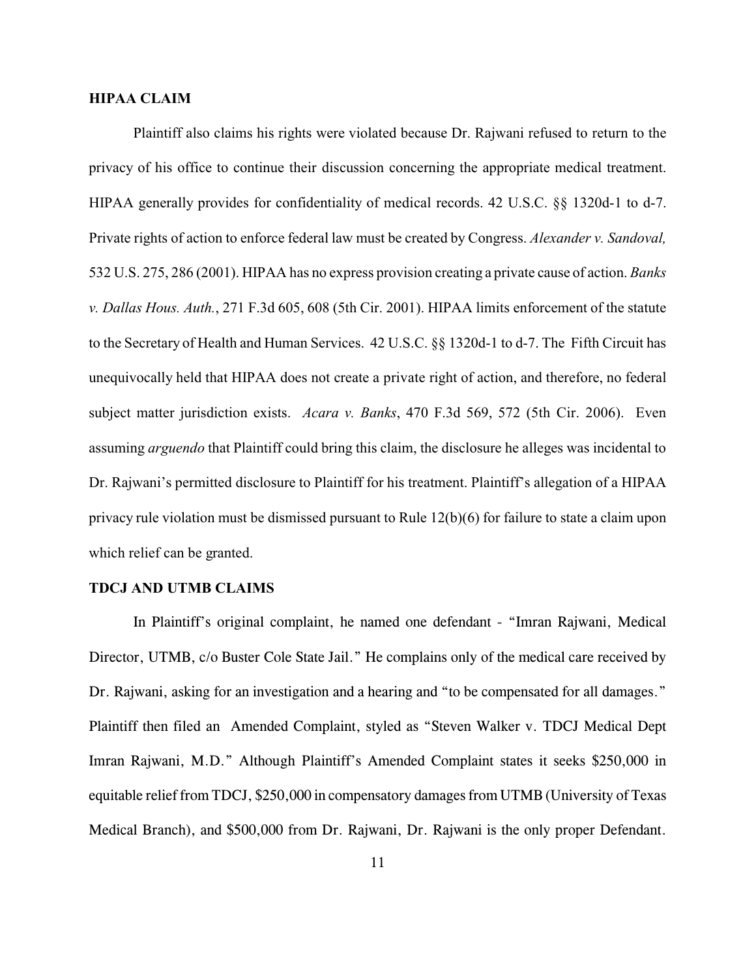### **HIPAA CLAIM**

Plaintiff also claims his rights were violated because Dr. Rajwani refused to return to the privacy of his office to continue their discussion concerning the appropriate medical treatment. HIPAA generally provides for confidentiality of medical records. 42 U.S.C. §§ 1320d-1 to d-7. Private rights of action to enforce federal law must be created by Congress. *Alexander v. Sandoval,* 532 U.S. 275, 286 (2001). HIPAA has no express provision creating a private cause of action. *Banks v. Dallas Hous. Auth.*, 271 F.3d 605, 608 (5th Cir. 2001). HIPAA limits enforcement of the statute to the Secretary of Health and Human Services. 42 U.S.C. §§ 1320d-1 to d-7. The Fifth Circuit has unequivocally held that HIPAA does not create a private right of action, and therefore, no federal subject matter jurisdiction exists. *Acara v. Banks*, 470 F.3d 569, 572 (5th Cir. 2006). Even assuming *arguendo* that Plaintiff could bring this claim, the disclosure he alleges was incidental to Dr. Rajwani's permitted disclosure to Plaintiff for his treatment. Plaintiff's allegation of a HIPAA privacy rule violation must be dismissed pursuant to Rule 12(b)(6) for failure to state a claim upon which relief can be granted.

#### **TDCJ AND UTMB CLAIMS**

In Plaintiff's original complaint, he named one defendant - "Imran Rajwani, Medical Director, UTMB, c/o Buster Cole State Jail." He complains only of the medical care received by Dr. Rajwani, asking for an investigation and a hearing and "to be compensated for all damages." Plaintiff then filed an Amended Complaint, styled as "Steven Walker v. TDCJ Medical Dept Imran Rajwani, M.D." Although Plaintiff's Amended Complaint states it seeks \$250,000 in equitable relief from TDCJ, \$250,000 in compensatory damages from UTMB (University of Texas Medical Branch), and \$500,000 from Dr. Rajwani, Dr. Rajwani is the only proper Defendant.